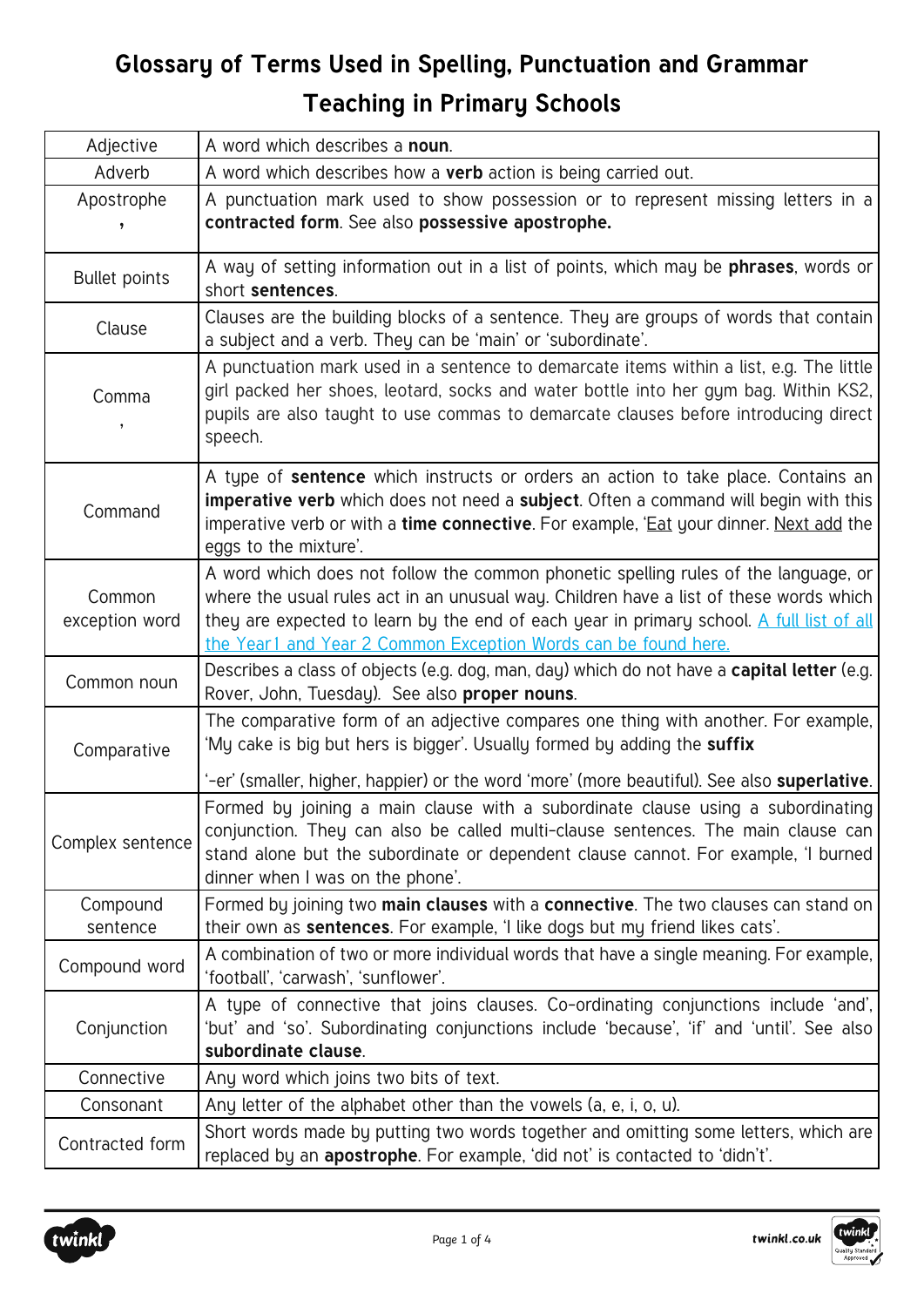| Adjective                | A word which describes a noun.                                                                                                                                                                                                                                                                                                              |
|--------------------------|---------------------------------------------------------------------------------------------------------------------------------------------------------------------------------------------------------------------------------------------------------------------------------------------------------------------------------------------|
| Adverb                   | A word which describes how a verb action is being carried out.                                                                                                                                                                                                                                                                              |
| Apostrophe<br>,          | A punctuation mark used to show possession or to represent missing letters in a<br>contracted form. See also possessive apostrophe.                                                                                                                                                                                                         |
| <b>Bullet points</b>     | A way of setting information out in a list of points, which may be <b>phrases</b> , words or<br>short sentences.                                                                                                                                                                                                                            |
| Clause                   | Clauses are the building blocks of a sentence. They are groups of words that contain<br>a subject and a verb. They can be 'main' or 'subordinate'.                                                                                                                                                                                          |
| Comma                    | A punctuation mark used in a sentence to demarcate items within a list, e.g. The little<br>girl packed her shoes, leotard, socks and water bottle into her gym bag. Within KS2,<br>pupils are also taught to use commas to demarcate clauses before introducing direct<br>speech.                                                           |
| Command                  | A type of <b>sentence</b> which instructs or orders an action to take place. Contains an<br>imperative verb which does not need a subject. Often a command will begin with this<br>imperative verb or with a <b>time connective</b> . For example, 'Eat your dinner. Next add the<br>eggs to the mixture'.                                  |
| Common<br>exception word | A word which does not follow the common phonetic spelling rules of the language, or<br>where the usual rules act in an unusual way. Children have a list of these words which<br>they are expected to learn by the end of each year in primary school. A full list of all<br>the Year1 and Year 2 Common Exception Words can be found here. |
| Common noun              | Describes a class of objects (e.g. dog, man, day) which do not have a capital letter (e.g.<br>Rover, John, Tuesday). See also proper nouns.                                                                                                                                                                                                 |
| Comparative              | The comparative form of an adjective compares one thing with another. For example,<br>'My cake is big but hers is bigger'. Usually formed by adding the suffix                                                                                                                                                                              |
|                          | '-er' (smaller, higher, happier) or the word 'more' (more beautiful). See also <b>superlative</b> .                                                                                                                                                                                                                                         |
| Complex sentence         | Formed by joining a main clause with a subordinate clause using a subordinating<br>conjunction. They can also be called multi-clause sentences. The main clause can<br>stand alone but the subordinate or dependent clause cannot. For example, 'I burned<br>dinner when I was on the phone'.                                               |
| Compound<br>sentence     | Formed by joining two main clauses with a connective. The two clauses can stand on<br>their own as <b>sentences</b> . For example, 'I like dogs but my friend likes cats'.                                                                                                                                                                  |
| Compound word            | A combination of two or more individual words that have a single meaning. For example,<br>'football', 'carwash', 'sunflower'.                                                                                                                                                                                                               |
| Conjunction              | A type of connective that joins clauses. Co-ordinating conjunctions include 'and',<br>'but' and 'so'. Subordinating conjunctions include 'because', 'if' and 'until'. See also<br>subordinate clause.                                                                                                                                       |
| Connective               | Any word which joins two bits of text.                                                                                                                                                                                                                                                                                                      |
| Consonant                | Any letter of the alphabet other than the vowels (a, e, i, o, u).                                                                                                                                                                                                                                                                           |
| Contracted form          | Short words made by putting two words together and omitting some letters, which are<br>replaced by an apostrophe. For example, 'did not' is contacted to 'didn't'.                                                                                                                                                                          |

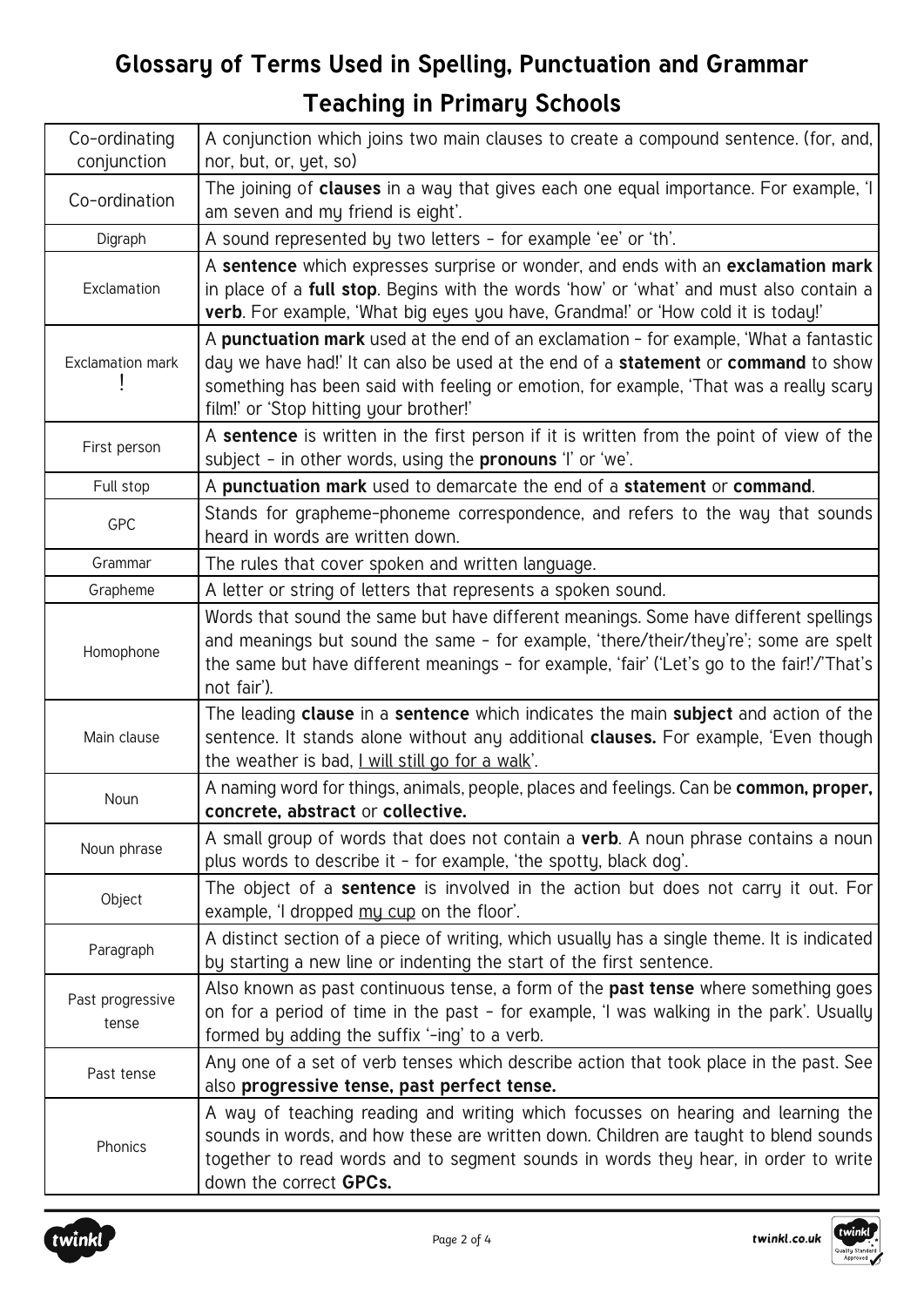| Co-ordinating<br>conjunction | A conjunction which joins two main clauses to create a compound sentence. (for, and,<br>nor, but, or, yet, so)                                                                                                                                                                                                  |
|------------------------------|-----------------------------------------------------------------------------------------------------------------------------------------------------------------------------------------------------------------------------------------------------------------------------------------------------------------|
| Co-ordination                | The joining of clauses in a way that gives each one equal importance. For example, 'I<br>am seven and my friend is eight'.                                                                                                                                                                                      |
| Digraph                      | A sound represented by two letters - for example 'ee' or 'th'.                                                                                                                                                                                                                                                  |
| Exclamation                  | A sentence which expresses surprise or wonder, and ends with an exclamation mark<br>in place of a full stop. Begins with the words 'how' or 'what' and must also contain a<br>verb. For example, 'What big eyes you have, Grandma!' or 'How cold it is today!'                                                  |
| Exclamation mark             | A punctuation mark used at the end of an exclamation - for example, 'What a fantastic<br>day we have had!' It can also be used at the end of a statement or command to show<br>something has been said with feeling or emotion, for example, 'That was a really scary<br>film!' or 'Stop hitting your brother!' |
| First person                 | A sentence is written in the first person if it is written from the point of view of the<br>subject - in other words, using the <b>pronouns</b> 'I' or 'we'.                                                                                                                                                    |
| Full stop                    | A punctuation mark used to demarcate the end of a statement or command.                                                                                                                                                                                                                                         |
| GPC                          | Stands for grapheme-phoneme correspondence, and refers to the way that sounds<br>heard in words are written down.                                                                                                                                                                                               |
| Grammar                      | The rules that cover spoken and written language.                                                                                                                                                                                                                                                               |
| Grapheme                     | A letter or string of letters that represents a spoken sound.                                                                                                                                                                                                                                                   |
| Homophone                    | Words that sound the same but have different meanings. Some have different spellings<br>and meanings but sound the same - for example, 'there/their/they're'; some are spelt<br>the same but have different meanings - for example, 'fair' ('Let's go to the fair!'/'That's<br>not fair').                      |
| Main clause                  | The leading clause in a sentence which indicates the main subject and action of the<br>sentence. It stands alone without any additional clauses. For example, 'Even though<br>the weather is bad, I will still go for a walk'.                                                                                  |
| Noun                         | A naming word for things, animals, people, places and feelings. Can be common, proper,<br>concrete, abstract or collective.                                                                                                                                                                                     |
| Noun phrase                  | A small group of words that does not contain a verb. A noun phrase contains a noun<br>plus words to describe it - for example, 'the spotty, black dog'.                                                                                                                                                         |
| Object                       | The object of a <b>sentence</b> is involved in the action but does not carry it out. For<br>example, 'I dropped my cup on the floor'.                                                                                                                                                                           |
| Paragraph                    | A distinct section of a piece of writing, which usually has a single theme. It is indicated<br>by starting a new line or indenting the start of the first sentence.                                                                                                                                             |
| Past progressive<br>tense    | Also known as past continuous tense, a form of the past tense where something goes<br>on for a period of time in the past - for example, 'I was walking in the park'. Usually<br>formed by adding the suffix '-ing' to a verb.                                                                                  |
| Past tense                   | Any one of a set of verb tenses which describe action that took place in the past. See<br>also progressive tense, past perfect tense.                                                                                                                                                                           |
| Phonics                      | A way of teaching reading and writing which focusses on hearing and learning the<br>sounds in words, and how these are written down. Children are taught to blend sounds<br>together to read words and to segment sounds in words they hear, in order to write<br>down the correct GPCs.                        |

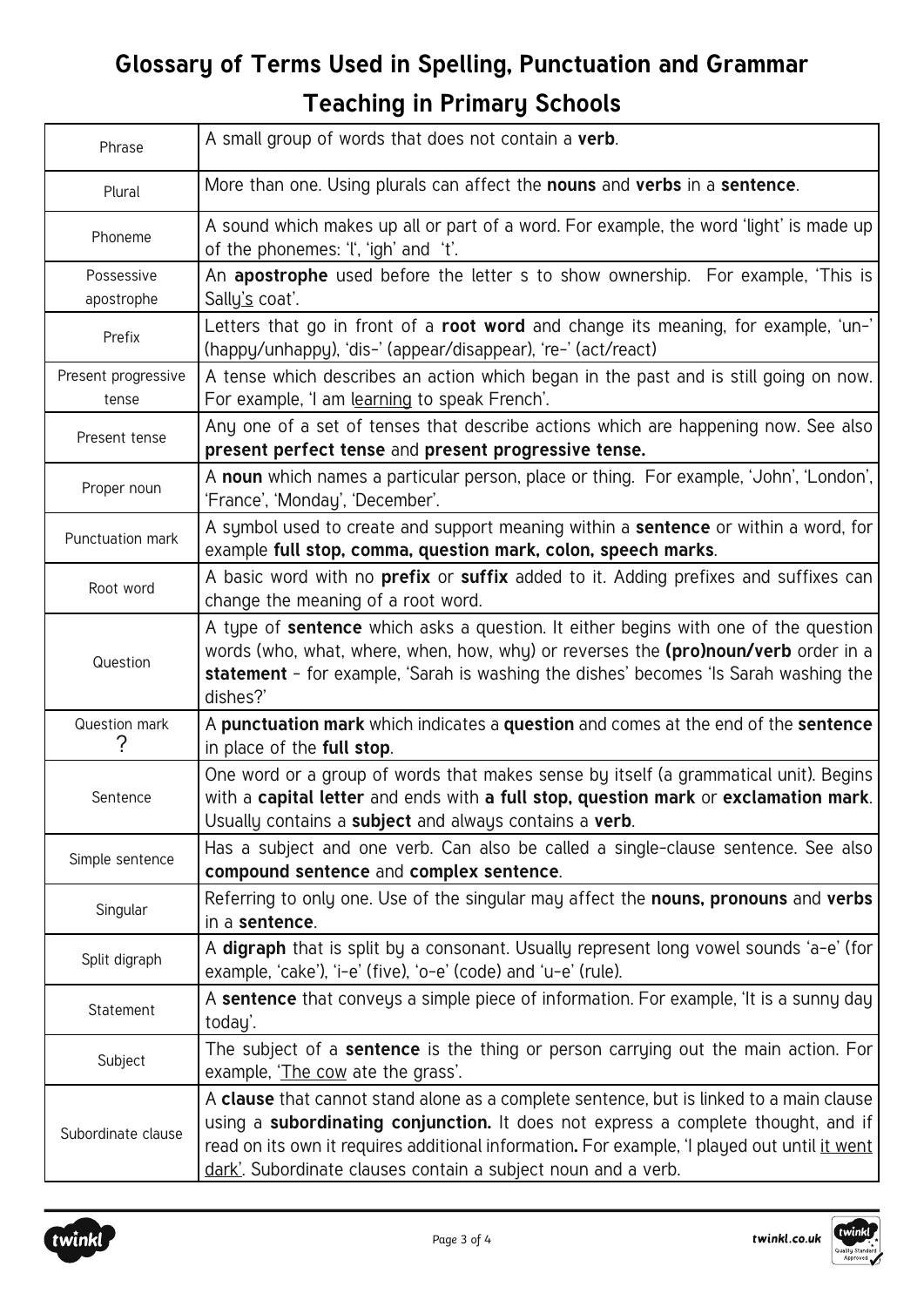| Phrase                       | A small group of words that does not contain a verb.                                                                                                                                                                                                                                                                                          |
|------------------------------|-----------------------------------------------------------------------------------------------------------------------------------------------------------------------------------------------------------------------------------------------------------------------------------------------------------------------------------------------|
| Plural                       | More than one. Using plurals can affect the nouns and verbs in a sentence.                                                                                                                                                                                                                                                                    |
| Phoneme                      | A sound which makes up all or part of a word. For example, the word 'light' is made up<br>of the phonemes: 't', 'igh' and 't'.                                                                                                                                                                                                                |
| Possessive<br>apostrophe     | An apostrophe used before the letter s to show ownership. For example, 'This is<br>Sally's coat'.                                                                                                                                                                                                                                             |
| Prefix                       | Letters that go in front of a root word and change its meaning, for example, 'un-'<br>(happy/unhappy), 'dis-' (appear/disappear), 're-' (act/react)                                                                                                                                                                                           |
| Present progressive<br>tense | A tense which describes an action which began in the past and is still going on now.<br>For example, 'I am learning to speak French'.                                                                                                                                                                                                         |
| Present tense                | Any one of a set of tenses that describe actions which are happening now. See also<br>present perfect tense and present progressive tense.                                                                                                                                                                                                    |
| Proper noun                  | A noun which names a particular person, place or thing. For example, 'John', 'London',<br>'France', 'Monday', 'December'.                                                                                                                                                                                                                     |
| Punctuation mark             | A symbol used to create and support meaning within a <b>sentence</b> or within a word, for<br>example full stop, comma, question mark, colon, speech marks.                                                                                                                                                                                   |
| Root word                    | A basic word with no <b>prefix</b> or <b>suffix</b> added to it. Adding prefixes and suffixes can<br>change the meaning of a root word.                                                                                                                                                                                                       |
| Question                     | A type of sentence which asks a question. It either begins with one of the question<br>words (who, what, where, when, how, why) or reverses the (pro)noun/verb order in a<br>statement - for example, 'Sarah is washing the dishes' becomes 'Is Sarah washing the<br>dishes?'                                                                 |
| Question mark                | A punctuation mark which indicates a question and comes at the end of the sentence<br>in place of the full stop.                                                                                                                                                                                                                              |
| Sentence                     | One word or a group of words that makes sense by itself (a grammatical unit). Begins<br>with a capital letter and ends with a full stop, question mark or exclamation mark.<br>Usually contains a subject and always contains a verb.                                                                                                         |
| Simple sentence              | Has a subject and one verb. Can also be called a single-clause sentence. See also<br>compound sentence and complex sentence.                                                                                                                                                                                                                  |
| Singular                     | Referring to only one. Use of the singular may affect the nouns, pronouns and verbs<br>in a sentence.                                                                                                                                                                                                                                         |
| Split digraph                | A digraph that is split by a consonant. Usually represent long vowel sounds 'a-e' (for<br>example, 'cake'), 'i-e' (five), 'o-e' (code) and 'u-e' (rule).                                                                                                                                                                                      |
| Statement                    | A sentence that conveys a simple piece of information. For example, 'It is a sunny day<br>today'.                                                                                                                                                                                                                                             |
| Subject                      | The subject of a <b>sentence</b> is the thing or person carrying out the main action. For<br>example, 'The cow ate the grass'.                                                                                                                                                                                                                |
| Subordinate clause           | A clause that cannot stand alone as a complete sentence, but is linked to a main clause<br>using a subordinating conjunction. It does not express a complete thought, and if<br>read on its own it requires additional information. For example, 'I played out until it went<br>dark'. Subordinate clauses contain a subject noun and a verb. |